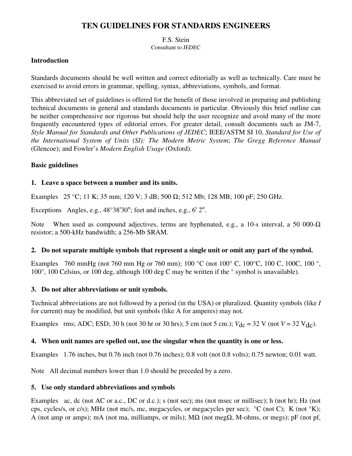# **TEN GUIDELINES FOR STANDARDS ENGINEERS**

F.S. Stein Consultant to JEDEC

#### **Introduction**

Standards documents should be well written and correct editorially as well as technically. Care must be exercised to avoid errors in grammar, spelling, syntax, abbreviations, symbols, and format.

This abbreviated set of guidelines is offered for the benefit of those involved in preparing and publishing technical documents in general and standards documents in particular. Obviously this brief outline can be neither comprehensive nor rigorous but should help the user recognize and avoid many of the more frequently encountered types of editorial errors. For greater detail, consult documents such as JM-7, *Style Manual for Standards and Other Publications of JEDEC*; IEEE/ASTM SI 10, *Standard for Use of the International System of Units (SI): The Modern Metric System*; *The Gregg Reference Manual*  (Glencoe); and Fowler's *Modern English Usage* (Oxford).

## **Basic guidelines**

## **1. Leave a space between a number and its units.**

Examples 25 °C; 11 K; 35 mm; 120 V; 3 dB; 500  $\Omega$ ; 512 Mb; 128 MB; 100 pF; 250 GHz.

Exceptions Angles, e.g., 48°38'30''; feet and inches, e.g., 6' 2''.

Note When used as compound adjectives, terms are hyphenated, e.g., a 10-s interval, a 50 000-Ω resistor; a 500-kHz bandwidth; a 256-Mb SRAM.

#### **2. Do not separate multiple symbols that represent a single unit or omit any part of the symbol.**

Examples 760 mmHg (not 760 mm Hg or 760 mm); 100 °C (not 100° C, 100°C, 100 C, 100C, 100 °, 100°, 100 Celsius, or 100 deg, although 100 deg C may be written if the ° symbol is unavailable).

#### **3. Do not alter abbreviations or unit symbols.**

Technical abbreviations are not followed by a period (in the USA) or pluralized. Quantity symbols (like *I* for current) may be modified, but unit symbols (like A for amperes) may not.

Examples rms; ADC; ESD; 30 h (not 30 hr or 30 hrs); 5 cm (not 5 cm.);  $V_{\text{dc}} = 32$  V (not  $V = 32$  V<sub>dc</sub>).

#### **4. When unit names are spelled out, use the singular when the quantity is one or less.**

Examples 1.76 inches, but 0.76 inch (not 0.76 inches); 0.8 volt (not 0.8 volts); 0.75 newton; 0.01 watt.

Note All decimal numbers lower than 1.0 should be preceded by a zero.

#### **5. Use only standard abbreviations and symbols**

Examples ac, dc (not AC or a.c., DC or d.c.); s (not sec); ms (not msec or millisec); h (not hr); Hz (not cps, cycles/s, or c/s); MHz (not mc/s, mc, megacycles, or megacycles per sec); °C (not C); K (not °K); A (not amp or amps); mA (not ma, milliamps, or mils); MΩ (not megΩ, M-ohms, or megs); pF (not pf,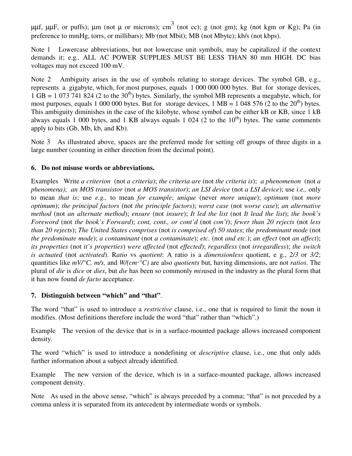μμf, μμF, or puffs); μm (not μ or microns); cm<sup>3</sup> (not cc); g (not gm); kg (not kgm or Kg); Pa (in preference to mmHg, torrs, or millibars); Mb (not Mbit); MB (not Mbyte); kb/s (not kbps).

Note 1 Lowercase abbreviations, but not lowercase unit symbols, may be capitalized if the context demands it; e.g*.,* ALL AC POWER SUPPLIES MUST BE LESS THAN 80 mm HIGH. DC bias voltages may not exceed 100 mV.

Note 2 Ambiguity arises in the use of symbols relating to storage devices. The symbol GB, e.g., represents a gigabyte, which, for most purposes, equals 1 000 000 000 bytes. But for storage devices,  $1 \text{ GB} = 1\,073\,741\,824\,$  (2 to the 30<sup>th</sup>) bytes. Similarly, the symbol MB represents a megabyte, which, for most purposes, equals 1 000 000 bytes. But for storage devices, 1 MB = 1 048 576 (2 to the  $20<sup>th</sup>$ ) bytes. This ambiguity diminishes in the case of the kilobyte, whose symbol can be either kB or KB, since 1 kB always equals 1 000 bytes, and 1 KB always equals 1 024 (2 to the  $10<sup>th</sup>$ ) bytes. The same comments apply to bits (Gb, Mb, kb, and Kb).

Note 3 As illustrated above, spaces are the preferred mode for setting off groups of three digits in a large number (counting in either direction from the decimal point).

#### **6. Do not misuse words or abbreviations.**

Examples Write *a criterion* (not *a criteria*); *the criteria are* (not *the criteria is*); *a phenomenon* (not *a phenomena)*; *an MOS transistor* (not *a MOS transistor*); *an LSI device* (not *a LSI device*); use *i.e.,* only to mean *that is*; use *e.g.,* to mean *for example*; *unique* (never *more unique*); *optimum* (not *more optimum*); *the principal factors* (not *the principle factors*); *worst case* (not *worse case*); *an alternative method* (not *an alternate method*); *ensure* (not *insure*); *It led the list* (not *It lead the list*); *the book's Foreword* (not *the book's Forward*); *cont, cont., or cont'd* (not *con't*); *fewer than 20 rejects* (not *less than 20 rejects*); *The United States comprises* (not *is comprised of*) *50 states*; *the predominant mode* (not *the predominate mode*); *a contaminant* (not *a contaminate*); *etc.* (not *and etc.*); *an effect* (not *an affect*); *its properties* (not *it's properties*) *were affected* (not *effected*); *regardless* (not *irregardless*); *the switch is actuated* (not *activated*). R*atio* vs *quotient*: A ratio is a *dimensionless* quotient, e g., *2/3* or *3/2*; quantities like *mV/°C, m/s,* and *W/(cm*·*°C)* are also *quotients* but, having dimensions, are not *ratios*. The plural of *die* is *dice* or *dies*, but *die* has been so commonly *mis*used in the industry as the plural form that it has now found *de facto* acceptance.

#### **7. Distinguish between "which" and "that"**.

The word "that" is used to introduce a *restrictive* clause, i.e., one that is required to limit the noun it modifies. (Most definitions therefore include the word "that" rather than "which".)

Example The version of the device that is in a surface-mounted package allows increased component density.

The word "which" is used to introduce a nondefining or *descriptive* clause, i.e., one that only adds further information about a subject already identified.

Example The new version of the device, which is in a surface-mounted package, allows increased component density.

Note As used in the above sense, "which" is always preceded by a comma; "that" is not preceded by a comma unless it is separated from its antecedent by intermediate words or symbols.